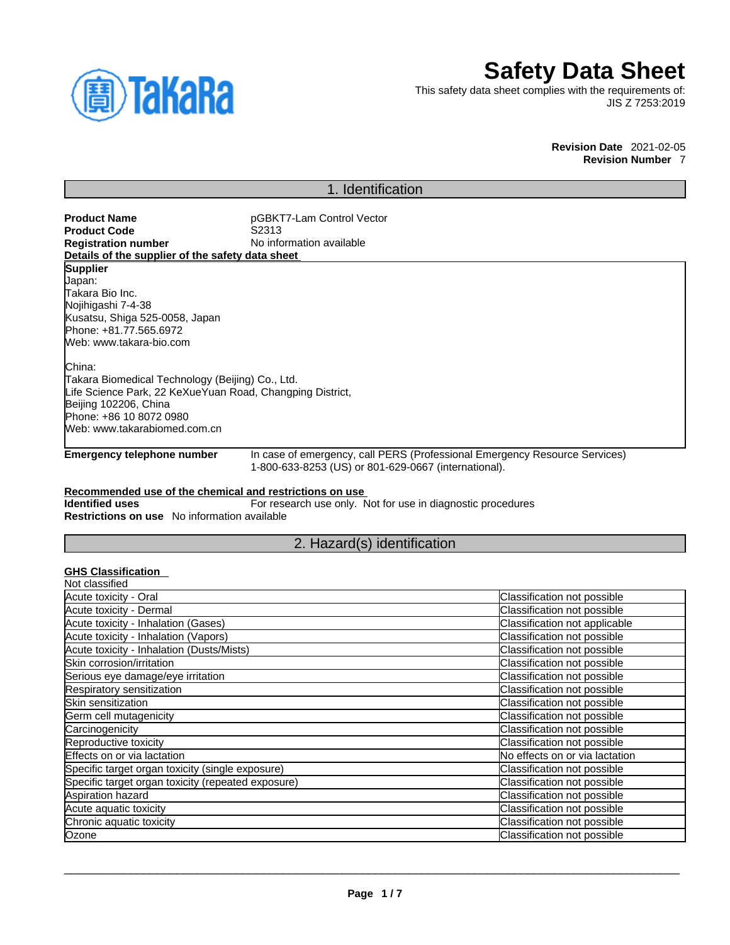

# **Safety Data Sheet**

This safety data sheet complies with the requirements of: JIS Z 7253:2019

> **Revision Date** 2021-02-05 **Revision Number** 7

### 1. Identification

**Product Name**<br> **Product Code**<br> **Product Code**<br> **Product Code**<br> **Product Code Product Code**<br>Registration number **No information available Details of the supplier of the safety data sheet Emergency telephone number** In case of emergency, call PERS (Professional Emergency Resource Services) 1-800-633-8253 (US) or 801-629-0667 (international). **Recommended use of the chemical and restrictions on use Supplier** Japan: Takara Bio Inc. Nojihigashi 7-4-38 Kusatsu, Shiga 525-0058, Japan Phone: +81.77.565.6972 Web: www.takara-bio.com China: Takara Biomedical Technology (Beijing) Co., Ltd. Life Science Park, 22 KeXueYuan Road, Changping District, Beijing 102206, China Phone: +86 10 8072 0980 Web: www.takarabiomed.com.cn

**Identified uses** For research use only. Not for use in diagnostic procedures **Restrictions on use** No information available

### 2. Hazard(s) identification

### **GHS Classification**

| Classification not possible    |
|--------------------------------|
| Classification not possible    |
| Classification not applicable  |
| Classification not possible    |
| Classification not possible    |
| Classification not possible    |
| Classification not possible    |
| Classification not possible    |
| Classification not possible    |
| Classification not possible    |
| Classification not possible    |
| Classification not possible    |
| No effects on or via lactation |
| Classification not possible    |
| Classification not possible    |
| Classification not possible    |
| Classification not possible    |
| Classification not possible    |
| Classification not possible    |
|                                |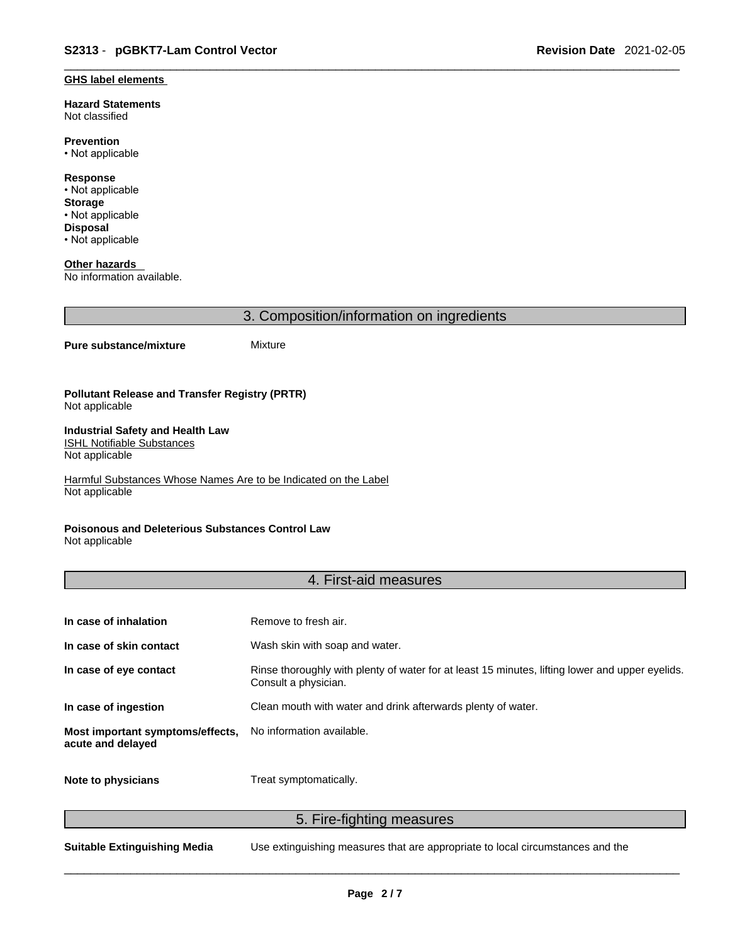#### **GHS label elements**

**Hazard Statements**  Not classified

**Prevention** • Not applicable

**Response** • Not applicable **Storage** • Not applicable **Disposal** • Not applicable

**Other hazards**  No information available.

3. Composition/information on ingredients

#### **Pure substance/mixture** Mixture

**Pollutant Release and Transfer Registry (PRTR)** Not applicable

#### **Industrial Safety and Health Law**  ISHL Notifiable Substances

Not applicable

Harmful Substances Whose Names Are to be Indicated on the Label Not applicable

### **Poisonous and Deleterious Substances Control Law**

Not applicable

### 4. First-aid measures

| In case of inhalation                                 | Remove to fresh air.                                                                                                    |
|-------------------------------------------------------|-------------------------------------------------------------------------------------------------------------------------|
| In case of skin contact                               | Wash skin with soap and water.                                                                                          |
| In case of eye contact                                | Rinse thoroughly with plenty of water for at least 15 minutes, lifting lower and upper eyelids.<br>Consult a physician. |
| In case of ingestion                                  | Clean mouth with water and drink afterwards plenty of water.                                                            |
| Most important symptoms/effects,<br>acute and delayed | No information available.                                                                                               |
| Note to physicians                                    | Treat symptomatically.                                                                                                  |

5. Fire-fighting measures

**Suitable Extinguishing Media** Use extinguishing measures that are appropriate to local circumstances and the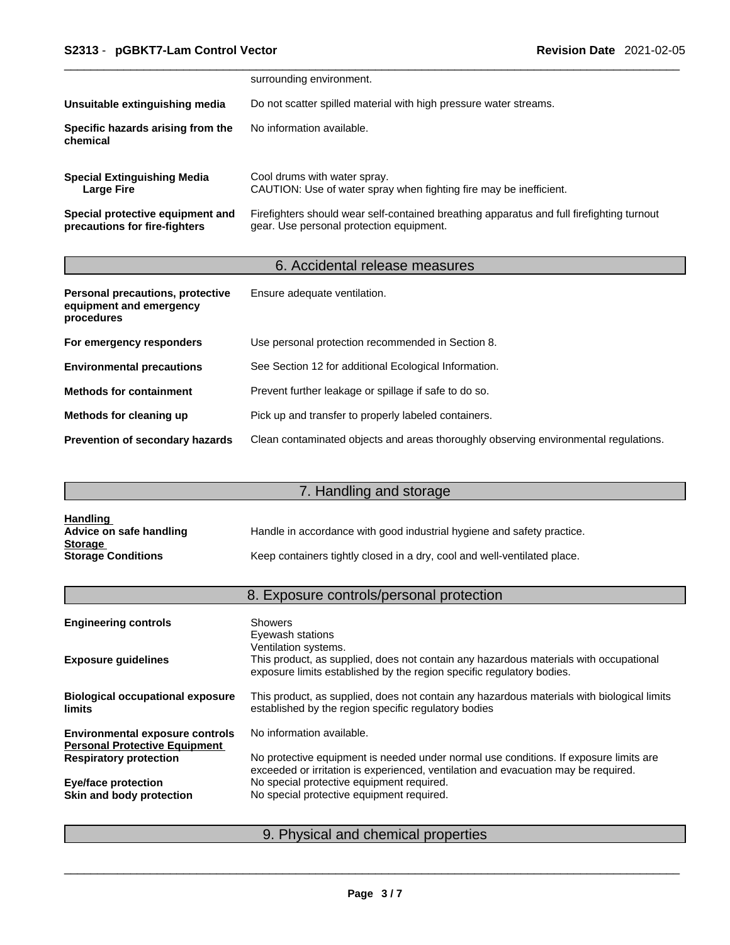|                                                                   | surrounding environment.                                                                                                              |
|-------------------------------------------------------------------|---------------------------------------------------------------------------------------------------------------------------------------|
| Unsuitable extinguishing media                                    | Do not scatter spilled material with high pressure water streams.                                                                     |
| Specific hazards arising from the<br>chemical                     | No information available.                                                                                                             |
| <b>Special Extinguishing Media</b><br>Large Fire                  | Cool drums with water spray.<br>CAUTION: Use of water spray when fighting fire may be inefficient.                                    |
| Special protective equipment and<br>precautions for fire-fighters | Firefighters should wear self-contained breathing apparatus and full firefighting turnout<br>gear. Use personal protection equipment. |

### 6. Accidental release measures

| Personal precautions, protective<br>equipment and emergency<br>procedures | Ensure adequate ventilation.                                                         |
|---------------------------------------------------------------------------|--------------------------------------------------------------------------------------|
| For emergency responders                                                  | Use personal protection recommended in Section 8.                                    |
| <b>Environmental precautions</b>                                          | See Section 12 for additional Ecological Information.                                |
| <b>Methods for containment</b>                                            | Prevent further leakage or spillage if safe to do so.                                |
| Methods for cleaning up                                                   | Pick up and transfer to properly labeled containers.                                 |
| Prevention of secondary hazards                                           | Clean contaminated objects and areas thoroughly observing environmental regulations. |

## 7. Handling and storage

| <u>Handling</u>           |                                                                          |
|---------------------------|--------------------------------------------------------------------------|
| Advice on safe handling   | Handle in accordance with good industrial hygiene and safety practice.   |
| <b>Storage</b>            |                                                                          |
| <b>Storage Conditions</b> | Keep containers tightly closed in a dry, cool and well-ventilated place. |

## 8. Exposure controls/personal protection

| <b>Engineering controls</b>                                                    | <b>Showers</b><br>Eyewash stations                                                                                                                                                     |
|--------------------------------------------------------------------------------|----------------------------------------------------------------------------------------------------------------------------------------------------------------------------------------|
| <b>Exposure guidelines</b>                                                     | Ventilation systems.<br>This product, as supplied, does not contain any hazardous materials with occupational<br>exposure limits established by the region specific regulatory bodies. |
| <b>Biological occupational exposure</b><br><b>limits</b>                       | This product, as supplied, does not contain any hazardous materials with biological limits<br>established by the region specific regulatory bodies                                     |
| <b>Environmental exposure controls</b><br><b>Personal Protective Equipment</b> | No information available.                                                                                                                                                              |
| <b>Respiratory protection</b>                                                  | No protective equipment is needed under normal use conditions. If exposure limits are<br>exceeded or irritation is experienced, ventilation and evacuation may be required.            |
| <b>Eye/face protection</b>                                                     | No special protective equipment required.                                                                                                                                              |
| Skin and body protection                                                       | No special protective equipment required.                                                                                                                                              |
|                                                                                |                                                                                                                                                                                        |

### 9. Physical and chemical properties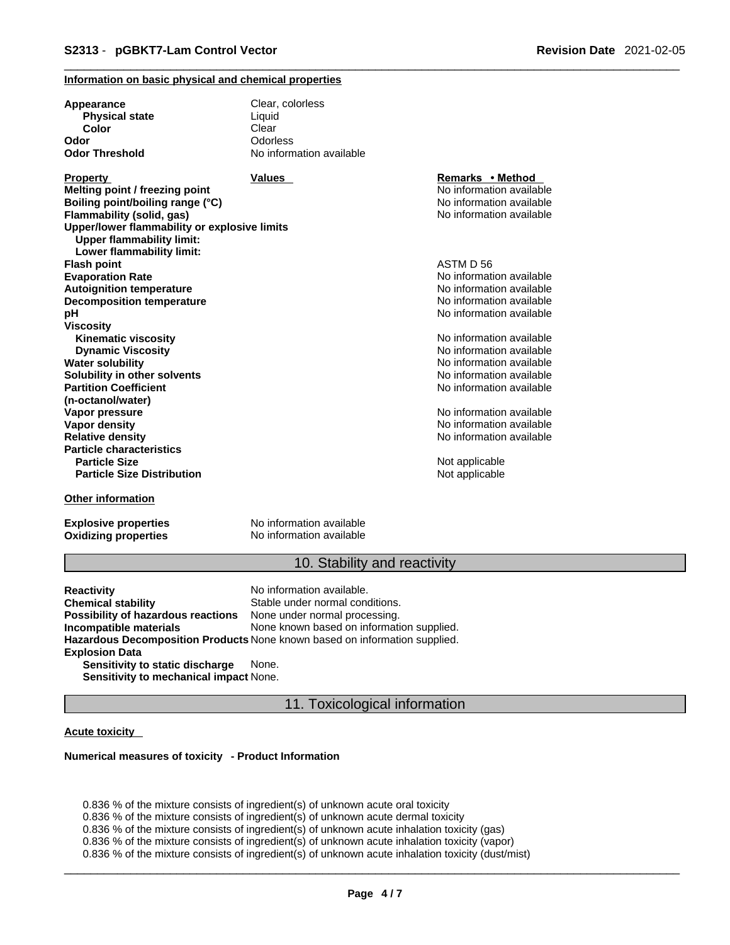### **Information on basic physical and chemical properties**

| Appearance<br><b>Physical state</b>                                              | Clear, colorless<br>Liquid |                          |  |
|----------------------------------------------------------------------------------|----------------------------|--------------------------|--|
| Color                                                                            | Clear                      |                          |  |
| Odor                                                                             | Odorless                   |                          |  |
| <b>Odor Threshold</b>                                                            | No information available   |                          |  |
|                                                                                  |                            |                          |  |
| <b>Property</b>                                                                  | <b>Values</b>              | Remarks • Method         |  |
| Melting point / freezing point                                                   |                            | No information available |  |
| Boiling point/boiling range (°C)                                                 |                            | No information available |  |
| Flammability (solid, gas)                                                        |                            | No information available |  |
| Upper/lower flammability or explosive limits<br><b>Upper flammability limit:</b> |                            |                          |  |
| Lower flammability limit:                                                        |                            |                          |  |
| Flash point                                                                      |                            | ASTM D 56                |  |
| <b>Evaporation Rate</b>                                                          |                            | No information available |  |
| <b>Autoignition temperature</b>                                                  |                            | No information available |  |
| <b>Decomposition temperature</b>                                                 |                            | No information available |  |
| рH                                                                               |                            | No information available |  |
| Viscosity                                                                        |                            |                          |  |
| <b>Kinematic viscosity</b>                                                       |                            | No information available |  |
| <b>Dynamic Viscosity</b>                                                         |                            | No information available |  |
| <b>Water solubility</b>                                                          |                            | No information available |  |
| Solubility in other solvents                                                     |                            | No information available |  |
| <b>Partition Coefficient</b>                                                     |                            | No information available |  |
| (n-octanol/water)                                                                |                            |                          |  |
| Vapor pressure                                                                   |                            | No information available |  |
| <b>Vapor density</b>                                                             |                            | No information available |  |
| <b>Relative density</b>                                                          |                            | No information available |  |
| <b>Particle characteristics</b>                                                  |                            |                          |  |
| <b>Particle Size</b>                                                             |                            | Not applicable           |  |
| <b>Particle Size Distribution</b>                                                |                            | Not applicable           |  |
| <b>Other information</b>                                                         |                            |                          |  |

**Explosive properties**<br> **Oxidizing properties**<br>
No information available **Oxidizing properties** 

### 10. Stability and reactivity

**Reactivity Reactivity Reactivity Chemical stability No information available.**<br> **Chemical stability Reaction** Stable under normal cond Stable under normal conditions.<br>None under normal processing. **Possibility of hazardous reactions Incompatible materials** None known based on information supplied. **Hazardous Decomposition Products** None known based on information supplied. **Explosion Data Sensitivity to static discharge** None. **Sensitivity to mechanical impact** None.

11. Toxicological information

#### **Acute toxicity**

#### **Numerical measures of toxicity - Product Information**

0.836 % of the mixture consists of ingredient(s) of unknown acute oral toxicity 0.836 % of the mixture consists of ingredient(s) of unknown acute dermal toxicity 0.836 % of the mixture consists of ingredient(s) of unknown acute inhalation toxicity (gas) 0.836 % of the mixture consists of ingredient(s) of unknown acute inhalation toxicity (vapor) 0.836 % of the mixture consists of ingredient(s) of unknown acute inhalation toxicity (dust/mist)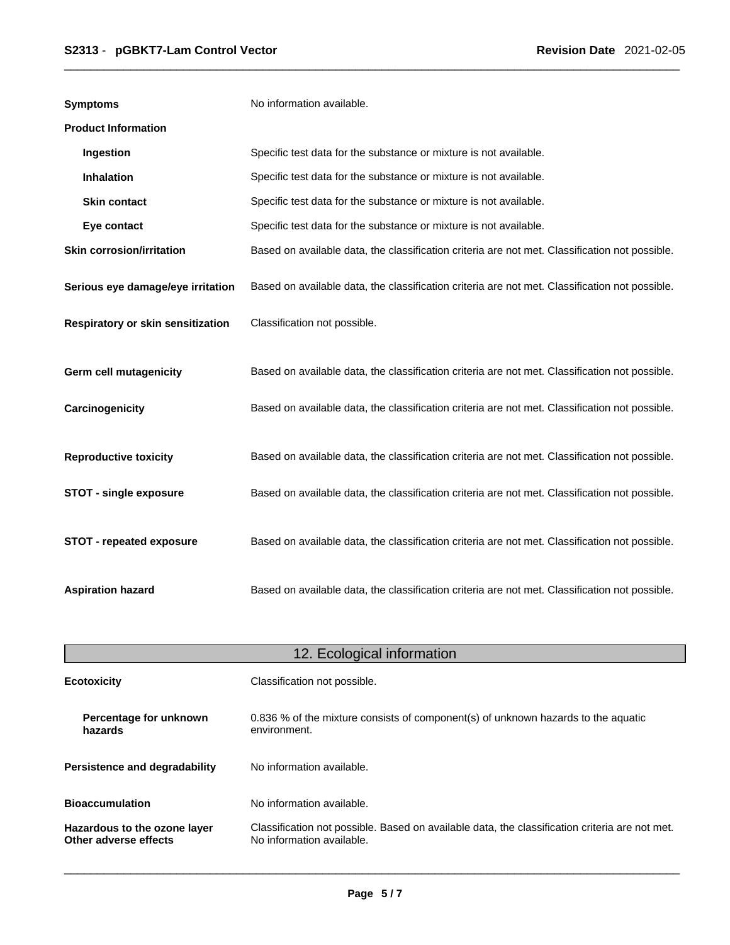| <b>Symptoms</b>                   | No information available.                                                                      |
|-----------------------------------|------------------------------------------------------------------------------------------------|
| <b>Product Information</b>        |                                                                                                |
| Ingestion                         | Specific test data for the substance or mixture is not available.                              |
| Inhalation                        | Specific test data for the substance or mixture is not available.                              |
| <b>Skin contact</b>               | Specific test data for the substance or mixture is not available.                              |
| Eye contact                       | Specific test data for the substance or mixture is not available.                              |
| <b>Skin corrosion/irritation</b>  | Based on available data, the classification criteria are not met. Classification not possible. |
| Serious eye damage/eye irritation | Based on available data, the classification criteria are not met. Classification not possible. |
| Respiratory or skin sensitization | Classification not possible.                                                                   |
| <b>Germ cell mutagenicity</b>     | Based on available data, the classification criteria are not met. Classification not possible. |
| Carcinogenicity                   | Based on available data, the classification criteria are not met. Classification not possible. |
| <b>Reproductive toxicity</b>      | Based on available data, the classification criteria are not met. Classification not possible. |
| <b>STOT - single exposure</b>     | Based on available data, the classification criteria are not met. Classification not possible. |
| <b>STOT - repeated exposure</b>   | Based on available data, the classification criteria are not met. Classification not possible. |
| <b>Aspiration hazard</b>          | Based on available data, the classification criteria are not met. Classification not possible. |

| 12. Ecological information                            |                                                                                                                             |  |
|-------------------------------------------------------|-----------------------------------------------------------------------------------------------------------------------------|--|
| <b>Ecotoxicity</b>                                    | Classification not possible.                                                                                                |  |
| Percentage for unknown<br>hazards                     | 0.836 % of the mixture consists of component(s) of unknown hazards to the aquatic<br>environment.                           |  |
| Persistence and degradability                         | No information available.                                                                                                   |  |
| <b>Bioaccumulation</b>                                | No information available.                                                                                                   |  |
| Hazardous to the ozone layer<br>Other adverse effects | Classification not possible. Based on available data, the classification criteria are not met.<br>No information available. |  |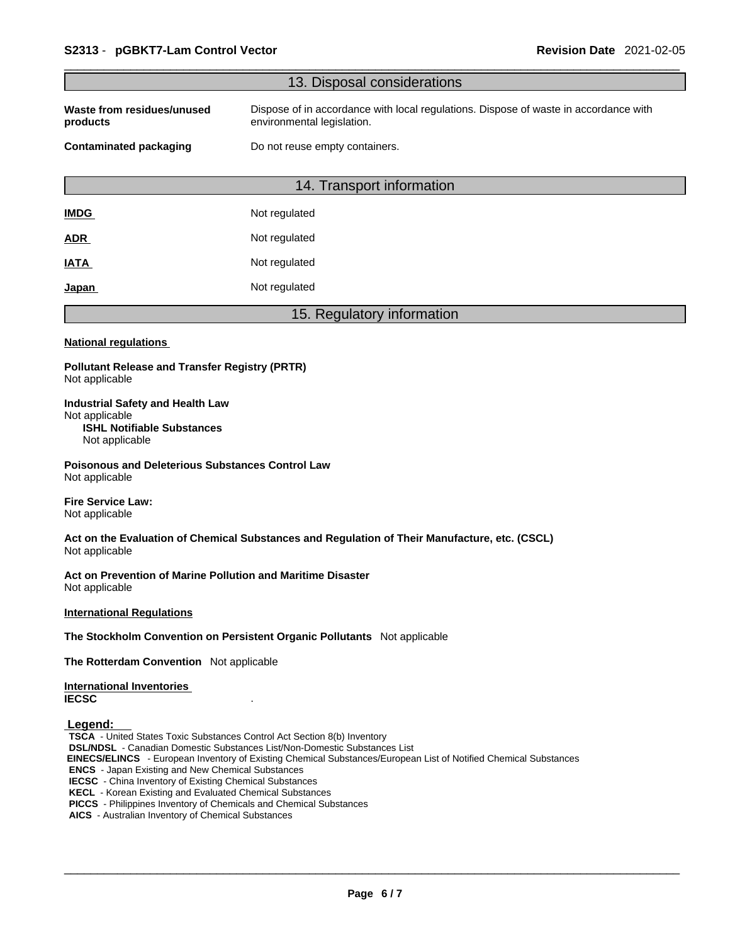| 13. Disposal considerations                                                                                                                                                                                                                                                                                                                                                                                                                                                                                                                                                                                              |  |
|--------------------------------------------------------------------------------------------------------------------------------------------------------------------------------------------------------------------------------------------------------------------------------------------------------------------------------------------------------------------------------------------------------------------------------------------------------------------------------------------------------------------------------------------------------------------------------------------------------------------------|--|
| Waste from residues/unused<br>Dispose of in accordance with local regulations. Dispose of waste in accordance with<br>environmental legislation.<br>products                                                                                                                                                                                                                                                                                                                                                                                                                                                             |  |
| <b>Contaminated packaging</b><br>Do not reuse empty containers.                                                                                                                                                                                                                                                                                                                                                                                                                                                                                                                                                          |  |
| 14. Transport information                                                                                                                                                                                                                                                                                                                                                                                                                                                                                                                                                                                                |  |
| Not regulated<br><b>IMDG</b>                                                                                                                                                                                                                                                                                                                                                                                                                                                                                                                                                                                             |  |
| Not regulated<br><b>ADR</b>                                                                                                                                                                                                                                                                                                                                                                                                                                                                                                                                                                                              |  |
| Not regulated<br><b>IATA</b>                                                                                                                                                                                                                                                                                                                                                                                                                                                                                                                                                                                             |  |
| Not regulated<br><u>Japan</u>                                                                                                                                                                                                                                                                                                                                                                                                                                                                                                                                                                                            |  |
| 15. Regulatory information                                                                                                                                                                                                                                                                                                                                                                                                                                                                                                                                                                                               |  |
| <b>National regulations</b>                                                                                                                                                                                                                                                                                                                                                                                                                                                                                                                                                                                              |  |
| <b>Pollutant Release and Transfer Registry (PRTR)</b><br>Not applicable                                                                                                                                                                                                                                                                                                                                                                                                                                                                                                                                                  |  |
| <b>Industrial Safety and Health Law</b><br>Not applicable<br><b>ISHL Notifiable Substances</b><br>Not applicable                                                                                                                                                                                                                                                                                                                                                                                                                                                                                                         |  |
| <b>Poisonous and Deleterious Substances Control Law</b><br>Not applicable                                                                                                                                                                                                                                                                                                                                                                                                                                                                                                                                                |  |
| <b>Fire Service Law:</b><br>Not applicable                                                                                                                                                                                                                                                                                                                                                                                                                                                                                                                                                                               |  |
| Act on the Evaluation of Chemical Substances and Regulation of Their Manufacture, etc. (CSCL)<br>Not applicable                                                                                                                                                                                                                                                                                                                                                                                                                                                                                                          |  |
| Act on Prevention of Marine Pollution and Maritime Disaster<br>Not applicable                                                                                                                                                                                                                                                                                                                                                                                                                                                                                                                                            |  |
| <b>International Regulations</b>                                                                                                                                                                                                                                                                                                                                                                                                                                                                                                                                                                                         |  |
| The Stockholm Convention on Persistent Organic Pollutants Not applicable                                                                                                                                                                                                                                                                                                                                                                                                                                                                                                                                                 |  |
| The Rotterdam Convention Not applicable                                                                                                                                                                                                                                                                                                                                                                                                                                                                                                                                                                                  |  |
| <b>International Inventories</b><br><b>IECSC</b>                                                                                                                                                                                                                                                                                                                                                                                                                                                                                                                                                                         |  |
| Legend:<br>TSCA - United States Toxic Substances Control Act Section 8(b) Inventory<br><b>DSL/NDSL</b> - Canadian Domestic Substances List/Non-Domestic Substances List<br>EINECS/ELINCS - European Inventory of Existing Chemical Substances/European List of Notified Chemical Substances<br><b>ENCS</b> - Japan Existing and New Chemical Substances<br><b>IECSC</b> - China Inventory of Existing Chemical Substances<br><b>KECL</b> - Korean Existing and Evaluated Chemical Substances<br>PICCS - Philippines Inventory of Chemicals and Chemical Substances<br>AICS - Australian Inventory of Chemical Substances |  |